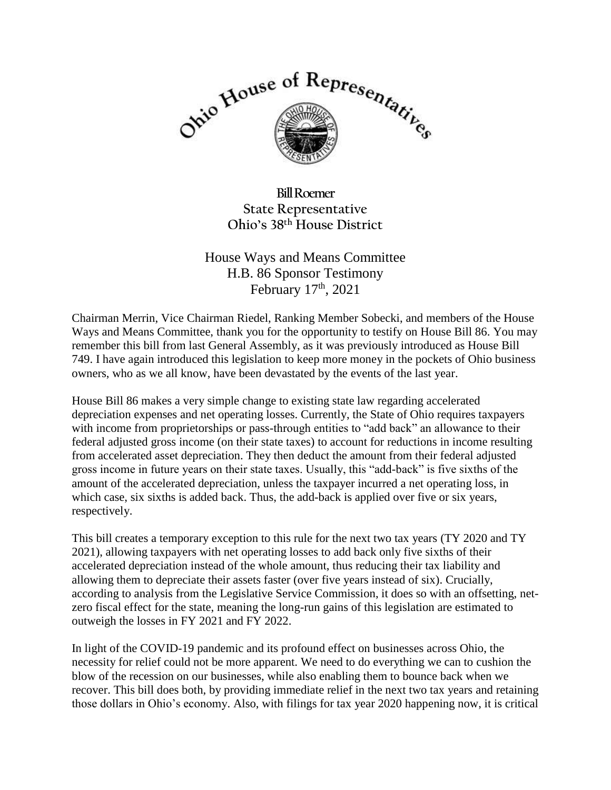

**Bill Roemer State Representative Ohio's 38th House District**

House Ways and Means Committee H.B. 86 Sponsor Testimony February 17<sup>th</sup>, 2021

Chairman Merrin, Vice Chairman Riedel, Ranking Member Sobecki, and members of the House Ways and Means Committee, thank you for the opportunity to testify on House Bill 86. You may remember this bill from last General Assembly, as it was previously introduced as House Bill 749. I have again introduced this legislation to keep more money in the pockets of Ohio business owners, who as we all know, have been devastated by the events of the last year.

House Bill 86 makes a very simple change to existing state law regarding accelerated depreciation expenses and net operating losses. Currently, the State of Ohio requires taxpayers with income from proprietorships or pass-through entities to "add back" an allowance to their federal adjusted gross income (on their state taxes) to account for reductions in income resulting from accelerated asset depreciation. They then deduct the amount from their federal adjusted gross income in future years on their state taxes. Usually, this "add-back" is five sixths of the amount of the accelerated depreciation, unless the taxpayer incurred a net operating loss, in which case, six sixths is added back. Thus, the add-back is applied over five or six years, respectively.

This bill creates a temporary exception to this rule for the next two tax years (TY 2020 and TY 2021), allowing taxpayers with net operating losses to add back only five sixths of their accelerated depreciation instead of the whole amount, thus reducing their tax liability and allowing them to depreciate their assets faster (over five years instead of six). Crucially, according to analysis from the Legislative Service Commission, it does so with an offsetting, netzero fiscal effect for the state, meaning the long-run gains of this legislation are estimated to outweigh the losses in FY 2021 and FY 2022.

In light of the COVID-19 pandemic and its profound effect on businesses across Ohio, the necessity for relief could not be more apparent. We need to do everything we can to cushion the blow of the recession on our businesses, while also enabling them to bounce back when we recover. This bill does both, by providing immediate relief in the next two tax years and retaining those dollars in Ohio's economy. Also, with filings for tax year 2020 happening now, it is critical